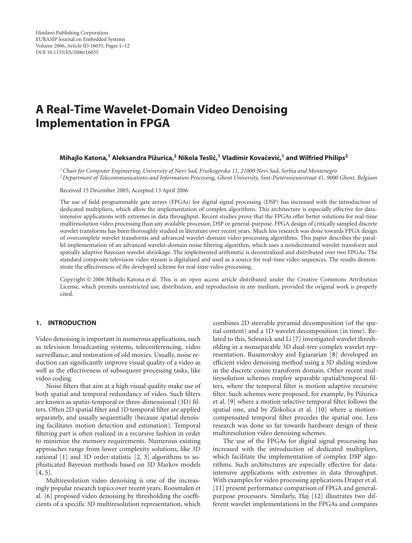# **A Real-Time Wavelet-Domain Video Denoising Implementation in FPGA**

## **Mihajlo Katona,1 Aleksandra Pizurica, ˇ <sup>2</sup> Nikola Teslic,´ <sup>1</sup> Vladimir Kovacevi ˇ c,´ <sup>1</sup> and Wilfried Philips2**

*1Chair for Computer Engineering, University of Novi Sad, Fruˇskogorska 11, 21000 Novi Sad, Serbia and Montenegro 2Department of Telecommunications and Information Processing, Ghent University, Sint-Pietersnieuwstraat 41, 9000 Ghent, Belgium*

Received 15 December 2005; Accepted 13 April 2006

The use of field-programmable gate arrays (FPGAs) for digital signal processing (DSP) has increased with the introduction of dedicated multipliers, which allow the implementation of complex algorithms. This architecture is especially effective for dataintensive applications with extremes in data throughput. Recent studies prove that the FPGAs offer better solutions for real-time multiresolution video processing than any available processor, DSP or general-purpose. FPGA design of critically sampled discrete wavelet transforms has been thoroughly studied in literature over recent years. Much less research was done towards FPGA design of overcomplete wavelet transforms and advanced wavelet-domain video processing algorithms. This paper describes the parallel implementation of an advanced wavelet-domain noise filtering algorithm, which uses a nondecimated wavelet transform and spatially adaptive Bayesian wavelet shrinkage. The implemented arithmetic is decentralized and distributed over two FPGAs. The standard composite television video stream is digitalized and used as a source for real-time video sequences. The results demonstrate the effectiveness of the developed scheme for real-time video processing.

Copyright © 2006 Mihajlo Katona et al. This is an open access article distributed under the Creative Commons Attribution License, which permits unrestricted use, distribution, and reproduction in any medium, provided the original work is properly cited.

## **1. INTRODUCTION**

Video denoising is important in numerous applications, such as television broadcasting systems, teleconferencing, video surveillance, and restoration of old movies. Usually, noise reduction can significantly improve visual quality of a video as well as the effectiveness of subsequent processing tasks, like video coding.

Noise filters that aim at a high visual quality make use of both spatial and temporal redundancy of video. Such filters are known as spatio-temporal or three-dimensional (3D) filters. Often 2D spatial filter and 1D temporal filter are applied separately, and usually sequentially (because spatial denoising facilitates motion detection and estimation). Temporal filtering part is often realized in a recursive fashion in order to minimize the memory requirements. Numerous existing approaches range from lower complexity solutions, like 3D rational [\[1](#page-9-1)] and 3D order-statistic [\[2,](#page-9-2) [3\]](#page-9-3) algorithms to sophisticated Bayesian methods based on 3D Markov models [\[4,](#page-9-4) [5](#page-9-5)].

Multiresolution video denoising is one of the increasingly popular research topics over recent years. Roosmalen et al. [\[6\]](#page-9-6) proposed video denoising by thresholding the coefficients of a specific 3D multiresolution representation, which

combines 2D steerable pyramid decomposition (of the spatial content) and a 1D wavelet decomposition (in time). Related to this, Selesnick and Li [\[7](#page-9-7)] investigated wavelet thresholding in a nonseparable 3D dual-tree complex wavelet representation. Rusanovskyy and Egiazarian [\[8\]](#page-9-8) developed an efficient video denoising method using a 3D sliding window in the discrete cosine transform domain. Other recent multiresolution schemes employ separable spatial/temporal filters, where the temporal filter is motion adaptive recursive filter. Such schemes were proposed, for example, by Pižurica et al. [\[9](#page-9-9)] where a motion selective temporal filter follows the spatial one, and by Zlokolica et al. [\[10\]](#page-9-10) where a motioncompensated temporal filter precedes the spatial one. Less research was done so far towards hardware design of these multiresolution video denoising schemes.

The use of the FPGAs for digital signal processing has increased with the introduction of dedicated multipliers, which facilitate the implementation of complex DSP algorithms. Such architectures are especially effective for dataintensive applications with extremes in data throughput. With examples for video processing applications Draper et al. [\[11](#page-9-11)] present performance comparison of FPGA and generalpurpose processors. Similarly, Haj [\[12](#page-9-12)] illustrates two different wavelet implementations in the FPGAs and compares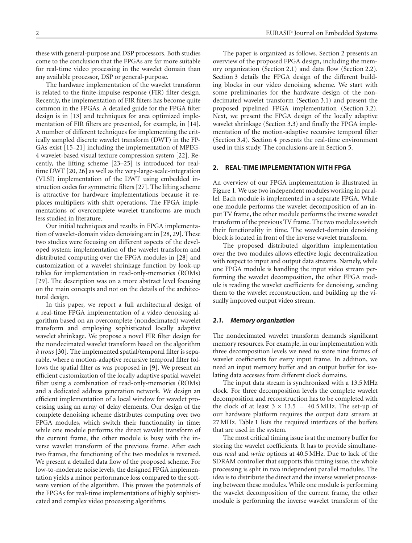these with general-purpose and DSP processors. Both studies come to the conclusion that the FPGAs are far more suitable for real-time video processing in the wavelet domain than any available processor, DSP or general-purpose.

The hardware implementation of the wavelet transform is related to the finite-impulse-response (FIR) filter design. Recently, the implementation of FIR filters has become quite common in the FPGAs. A detailed guide for the FPGA filter design is in [\[13](#page-9-13)] and techniques for area optimized implementation of FIR filters are presented, for example, in [\[14](#page-9-14)]. A number of different techniques for implementing the critically sampled discrete wavelet transform (DWT) in the FP-GAs exist [\[15](#page-9-15)[–21\]](#page-10-0) including the implementation of MPEG-4 wavelet-based visual texture compression system [\[22\]](#page-10-1). Recently, the lifting scheme [\[23](#page-10-2)[–25\]](#page-10-3) is introduced for realtime DWT [\[20,](#page-10-4) [26\]](#page-10-5) as well as the very-large-scale-integration (VLSI) implementation of the DWT using embedded instruction codes for symmetric filters [\[27\]](#page-10-6). The lifting scheme is attractive for hardware implementations because it replaces multipliers with shift operations. The FPGA implementations of overcomplete wavelet transforms are much less studied in literature.

Our initial techniques and results in FPGA implementation of wavelet-domain video denoising are in [\[28](#page-10-7), [29](#page-10-8)]. These two studies were focusing on different aspects of the developed system: implementation of the wavelet transform and distributed computing over the FPGA modules in [\[28](#page-10-7)] and customization of a wavelet shrinkage function by look-up tables for implementation in read-only-memories (ROMs) [\[29](#page-10-8)]. The description was on a more abstract level focusing on the main concepts and not on the details of the architectural design.

In this paper, we report a full architectural design of a real-time FPGA implementation of a video denoising algorithm based on an overcomplete (nondecimated) wavelet transform and employing sophisticated locally adaptive wavelet shrinkage. We propose a novel FIR filter design for the nondecimated wavelet transform based on the algorithm *a*` *trous* [\[30\]](#page-10-9). The implemented spatial/temporal filter is separable, where a motion-adaptive recursive temporal filter follows the spatial filter as was proposed in [\[9](#page-9-9)]. We present an efficient customization of the locally adaptive spatial wavelet filter using a combination of read-only-memories (ROMs) and a dedicated address generation network. We design an efficient implementation of a local window for wavelet processing using an array of delay elements. Our design of the complete denoising scheme distributes computing over two FPGA modules, which switch their functionality in time: while one module performs the direct wavelet transform of the current frame, the other module is busy with the inverse wavelet transform of the previous frame. After each two frames, the functioning of the two modules is reversed. We present a detailed data flow of the proposed scheme. For low-to-moderate noise levels, the designed FPGA implementation yields a minor performance loss compared to the software version of the algorithm. This proves the potentials of the FPGAs for real-time implementations of highly sophisticated and complex video processing algorithms.

The paper is organized as follows. [Section 2](#page-1-0) presents an overview of the proposed FPGA design, including the memory organization [\(Section 2.1\)](#page-1-1) and data flow [\(Section 2.2\)](#page-2-0). [Section 3](#page-2-1) details the FPGA design of the different building blocks in our video denoising scheme. We start with some preliminaries for the hardware design of the nondecimated wavelet transform [\(Section 3.1\)](#page-2-2) and present the proposed pipelined FPGA implementation [\(Section 3.2\)](#page-3-0). Next, we present the FPGA design of the locally adaptive wavelet shrinkage [\(Section 3.3\)](#page-5-0) and finally the FPGA implementation of the motion-adaptive recursive temporal filter [\(Section 3.4\)](#page-7-0). [Section 4](#page-7-1) presents the real-time environment used in this study. The conclusions are in [Section 5.](#page-8-0)

## <span id="page-1-0"></span>**2. REAL-TIME IMPLEMENTATION WITH FPGA**

An overview of our FPGA implementation is illustrated in [Figure 1.](#page-2-3) We use two independent modules working in parallel. Each module is implemented in a separate FPGA. While one module performs the wavelet decomposition of an input TV frame, the other module performs the inverse wavelet transform of the previous TV frame. The two modules switch their functionality in time. The wavelet-domain denoising block is located in front of the inverse wavelet transform.

The proposed distributed algorithm implementation over the two modules allows effective logic decentralization with respect to input and output data streams. Namely, while one FPGA module is handling the input video stream performing the wavelet decomposition, the other FPGA module is reading the wavelet coefficients for denoising, sending them to the wavelet reconstruction, and building up the visually improved output video stream.

## <span id="page-1-1"></span>*2.1. Memory organization*

The nondecimated wavelet transform demands significant memory resources. For example, in our implementation with three decomposition levels we need to store nine frames of wavelet coefficients for every input frame. In addition, we need an input memory buffer and an output buffer for isolating data accesses from different clock domains.

The input data stream is synchronized with a 13.5 MHz clock. For three decomposition levels the complete wavelet decomposition and reconstruction has to be completed with the clock of at least  $3 \times 13.5 = 40.5 \text{ MHz}$ . The set-up of our hardware platform requires the output data stream at 27 MHz. [Table 1](#page-2-4) lists the required interfaces of the buffers that are used in the system.

The most critical timing issue is at the memory buffer for storing the wavelet coefficients. It has to provide simultaneous *read* and *write* options at 40.5 MHz. Due to lack of the SDRAM controller that supports this timing issue, the whole processing is split in two independent parallel modules. The idea is to distribute the direct and the inverse wavelet processing between these modules. While one module is performing the wavelet decomposition of the current frame, the other module is performing the inverse wavelet transform of the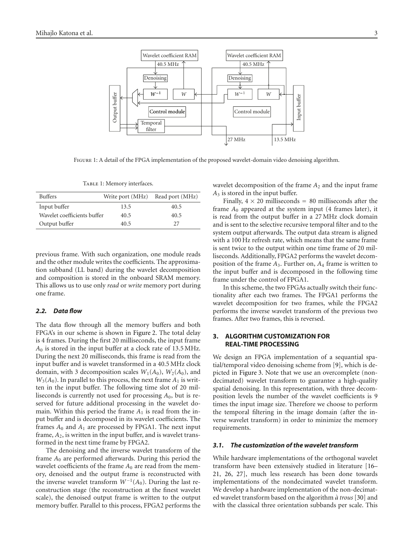

<span id="page-2-3"></span>Figure 1: A detail of the FPGA implementation of the proposed wavelet-domain video denoising algorithm.

TABLE 1: Memory interfaces.

<span id="page-2-4"></span>

| <b>Buffers</b>              | Write port (MHz) | Read port (MHz) |
|-----------------------------|------------------|-----------------|
| Input buffer                | 13.5             | 40.5            |
| Wavelet coefficients buffer | 40.5             | 40.5            |
| Output buffer               | 40.5             | 27              |

previous frame. With such organization, one module reads and the other module writes the coefficients. The approximation subband (LL band) during the wavelet decomposition and composition is stored in the onboard SRAM memory. This allows us to use only *read* or *write* memory port during one frame.

#### <span id="page-2-0"></span>*2.2. Data flow*

The data flow through all the memory buffers and both FPGA's in our scheme is shown in [Figure 2.](#page-3-1) The total delay is 4 frames. During the first 20 milliseconds, the input frame *<sup>A</sup>*<sup>0</sup> is stored in the input buffer at a clock rate of 13.5 MHz. During the next 20 milliseconds, this frame is read from the input buffer and is wavelet transformed in a 40.5 MHz clock domain, with 3 decomposition scales  $W_1(A_0)$ ,  $W_2(A_0)$ , and  $W_3(A_0)$ . In parallel to this process, the next frame  $A_1$  is written in the input buffer. The following time slot of 20 milliseconds is currently not used for processing *A*0, but is reserved for future additional processing in the wavelet domain. Within this period the frame  $A_1$  is read from the input buffer and is decomposed in its wavelet coefficients. The frames  $A_0$  and  $A_1$  are processed by FPGA1. The next input frame, *A*2, is written in the input buffer, and is wavelet transformed in the next time frame by FPGA2.

The denoising and the inverse wavelet transform of the frame *<sup>A</sup>*<sup>0</sup> are performed afterwards. During this period the wavelet coefficients of the frame  $A_0$  are read from the memory, denoised and the output frame is reconstructed with the inverse wavelet transform  $W^{-1}(A_0)$ . During the last reconstruction stage (the reconstruction at the finest wavelet scale), the denoised output frame is written to the output memory buffer. Parallel to this process, FPGA2 performs the

wavelet decomposition of the frame *<sup>A</sup>*<sup>2</sup> and the input frame *<sup>A</sup>*<sup>3</sup> is stored in the input buffer.

Finally,  $4 \times 20$  milliseconds = 80 milliseconds after the frame  $A_0$  appeared at the system input (4 frames later), it is read from the output buffer in a 27 MHz clock domain and is sent to the selective recursive temporal filter and to the system output afterwards. The output data stream is aligned with a 100 Hz refresh rate, which means that the same frame is sent twice to the output within one time frame of 20 milliseconds. Additionally, FPGA2 performs the wavelet decomposition of the frame *<sup>A</sup>*3. Further on, *<sup>A</sup>*<sup>4</sup> frame is written to the input buffer and is decomposed in the following time frame under the control of FPGA1.

In this scheme, the two FPGAs actually switch their functionality after each two frames. The FPGA1 performs the wavelet decomposition for two frames, while the FPGA2 performs the inverse wavelet transform of the previous two frames. After two frames, this is reversed.

## <span id="page-2-1"></span>**3. ALGORITHM CUSTOMIZATION FOR REAL-TIME PROCESSING**

We design an FPGA implementation of a sequantial spatial/temporal video denoising scheme from [\[9](#page-9-9)], which is depicted in [Figure 3.](#page-3-2) Note that we use an overcomplete (nondecimated) wavelet transform to guarantee a high-quality spatial denoising. In this representation, with three decomposition levels the number of the wavelet coefficients is 9 times the input image size. Therefore we choose to perform the temporal filtering in the image domain (after the inverse wavelet transform) in order to minimize the memory requirements.

## <span id="page-2-2"></span>*3.1. The customization of the wavelet transform*

While hardware implementations of the orthogonal wavelet transform have been extensively studied in literature [\[16](#page-9-16)– [21,](#page-10-0) [26,](#page-10-5) [27](#page-10-6)], much less research has been done towards implementations of the nondecimated wavelet transform. We develop a hardware implementation of the non-decimated wavelet transform based on the algorithm *a*` *trous* [\[30\]](#page-10-9) and with the classical three orientation subbands per scale. This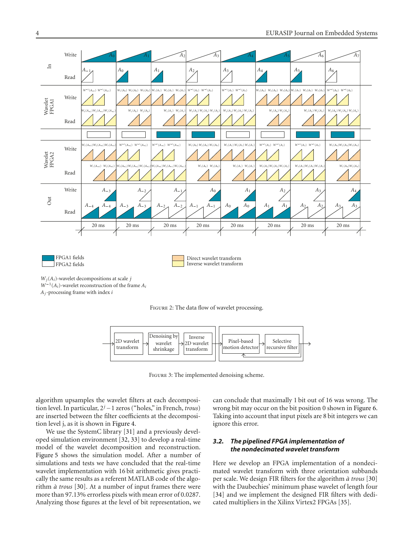

 $W^{-1}(A_i)$ -wavelet reconstruction of the frame  $A_i$ *Aj*-processing frame with index *i*

<span id="page-3-1"></span>



<span id="page-3-2"></span>Figure 3: The implemented denoising scheme.

algorithm upsamples the wavelet filters at each decomposition level. In particular, 2*j* −1 zeros ("holes," in French, *trous*) are inserted between the filter coefficients at the decomposition level j, as it is shown in [Figure 4.](#page-4-0)

We use the SystemC library [\[31\]](#page-10-10) and a previously developed simulation environment [\[32](#page-10-11), [33](#page-10-12)] to develop a real-time model of the wavelet decomposition and reconstruction. [Figure 5](#page-4-1) shows the simulation model. After a number of simulations and tests we have concluded that the real-time wavelet implementation with 16 bit arithmetic gives practically the same results as a referent MATLAB code of the algorithm *a*` *trous* [\[30](#page-10-9)]. At a number of input frames there were more than 97.13% errorless pixels with mean error of 0.0287. Analyzing those figures at the level of bit representation, we

can conclude that maximally 1 bit out of 16 was wrong. The wrong bit may occur on the bit position 0 shown in [Figure 6.](#page-5-1) Taking into account that input pixels are 8 bit integers we can ignore this error.

# <span id="page-3-0"></span>*3.2. The pipelined FPGA implementation of the nondecimated wavelet transform*

Here we develop an FPGA implementation of a nondecimated wavelet transform with three orientation subbands per scale. We design FIR filters for the algorithm *a*` *trous* [\[30\]](#page-10-9) with the Daubechies' minimum phase wavelet of length four [\[34](#page-10-13)] and we implement the designed FIR filters with dedicated multipliers in the Xilinx Virtex2 FPGAs [\[35\]](#page-10-14).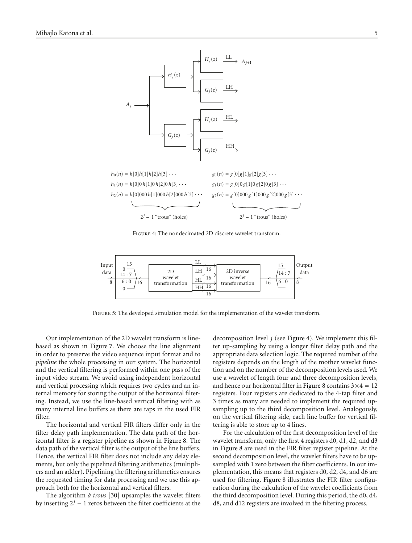

<span id="page-4-0"></span>Figure 4: The nondecimated 2D discrete wavelet transform.



<span id="page-4-1"></span>Figure 5: The developed simulation model for the implementation of the wavelet transform.

Our implementation of the 2D wavelet transform is linebased as shown in [Figure 7.](#page-5-2) We choose the line alignment in order to preserve the video sequence input format and to *pipeline* the whole processing in our system. The horizontal and the vertical filtering is performed within one pass of the input video stream. We avoid using independent horizontal and vertical processing which requires two cycles and an internal memory for storing the output of the horizontal filtering. Instead, we use the line-based vertical filtering with as many internal line buffers as there are taps in the used FIR filter.

The horizontal and vertical FIR filters differ only in the filter delay path implementation. The data path of the horizontal filter is a register pipeline as shown in [Figure 8.](#page-6-0) The data path of the vertical filter is the output of the line buffers. Hence, the vertical FIR filter does not include any delay elements, but only the pipelined filtering arithmetics (multipliers and an adder). Pipelining the filtering arithmetics ensures the requested timing for data processing and we use this approach both for the horizontal and vertical filters.

The algorithm  $\hat{a}$  *trous* [\[30\]](#page-10-9) upsamples the wavelet filters by inserting 2*<sup>j</sup>* − 1 zeros between the filter coefficients at the decomposition level *j* (see [Figure 4\)](#page-4-0). We implement this filter up-sampling by using a longer filter delay path and the appropriate data selection logic. The required number of the registers depends on the length of the mother wavelet function and on the number of the decomposition levels used. We use a wavelet of length four and three decomposition levels, and hence our horizontal filter in [Figure 8](#page-6-0) contains  $3 \times 4 = 12$ registers. Four registers are dedicated to the 4-tap filter and 3 times as many are needed to implement the required upsampling up to the third decomposition level. Analogously, on the vertical filtering side, each line buffer for vertical filtering is able to store up to 4 lines.

For the calculation of the first decomposition level of the wavelet transform, only the first 4 registers d0, d1, d2, and d3 in [Figure 8](#page-6-0) are used in the FIR filter register pipeline. At the second decomposition level, the wavelet filters have to be upsampled with 1 zero between the filter coefficients. In our implementation, this means that registers d0, d2, d4, and d6 are used for filtering. [Figure 8](#page-6-0) illustrates the FIR filter configuration during the calculation of the wavelet coefficients from the third decomposition level. During this period, the d0, d4, d8, and d12 registers are involved in the filtering process.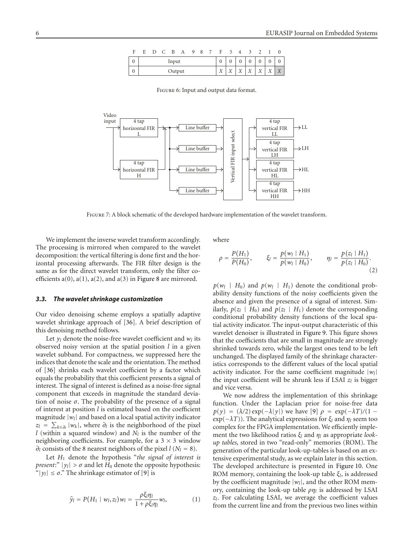|   | F      |  |  | B | А | Q | 8 |                   | F                  | h | Δ         |          |                  |  |  |
|---|--------|--|--|---|---|---|---|-------------------|--------------------|---|-----------|----------|------------------|--|--|
| 0 | Input  |  |  |   |   |   |   | 0                 | v                  | υ | υ         | υ        | υ                |  |  |
| 0 | Output |  |  |   |   |   |   | $\mathbf{v}$<br>∡ | $\mathbf{v}$<br>∡⊾ | Λ | $\Lambda$ | T.Z<br>∡ | $\mathbf v$<br>∡ |  |  |

<span id="page-5-1"></span>Figure 6: Input and output data format.



<span id="page-5-2"></span>Figure 7: A block schematic of the developed hardware implementation of the wavelet transform.

We implement the inverse wavelet transform accordingly. The processing is mirrored when compared to the wavelet decomposition: the vertical filtering is done first and the horizontal processing afterwards. The FIR filter design is the same as for the direct wavelet transform, only the filter coefficients  $a(0)$ ,  $a(1)$ ,  $a(2)$ , and  $a(3)$  in [Figure 8](#page-6-0) are mirrored.

#### <span id="page-5-0"></span>*3.3. The wavelet shrinkage customization*

Our video denoising scheme employs a spatially adaptive wavelet shrinkage approach of [\[36](#page-10-15)]. A brief description of this denoising method follows.

Let  $y_l$  denote the noise-free wavelet coefficient and  $w_l$  its observed noisy version at the spatial position *l* in a given wavelet subband. For compactness, we suppressed here the indices that denote the scale and the orientation. The method of [\[36](#page-10-15)] shrinks each wavelet coefficient by a factor which equals the probability that this coefficient presents a signal of interest. The signal of interest is defined as a noise-free signal component that exceeds in magnitude the standard deviation of noise  $\sigma$ . The probability of the presence of a signal of interest at position *l* is estimated based on the coefficient magnitude  $|w_l|$  and based on a local spatial activity indicator  $z_l = \sum_{k \in \partial_l} |w_k|$ , where  $\partial_l$  is the neighborhood of the pixel *l* (within a squared window) and *N<sub>i</sub>* is the number of the *l* (within a squared window) and  $N_l$  is the number of the neighboring coefficients. For example, for a  $3 \times 3$  window *∂l* consists of the 8 nearest neighbors of the pixel *l* (*N*<sup>*l*</sup> = 8).

Let *<sup>H</sup>*<sup>1</sup> denote the hypothesis "*the signal of interest is present*:"  $|y_l| > \sigma$  and let  $H_0$  denote the opposite hypothesis: " $|y_l| \leq \sigma$ ." The shrinkage estimator of [\[9\]](#page-9-9) is

$$
\widehat{y}_l = P(H_1 \mid w_l, z_l) w_l = \frac{\rho \xi_l \eta_l}{1 + \rho \xi_l \eta_l} w_l, \tag{1}
$$

where

$$
\rho = \frac{P(H_1)}{P(H_0)}, \qquad \xi_l = \frac{p(w_l \mid H_1)}{p(w_l \mid H_0)}, \qquad \eta_l = \frac{p(z_l \mid H_1)}{p(z_l \mid H_0)}.
$$
\n(2)

 $p(w_l$  |  $H_0$ ) and  $p(w_l$  |  $H_1$ ) denote the conditional probability density functions of the noisy coefficients given the absence and given the presence of a signal of interest. Similarly,  $p(z_l \mid H_0)$  and  $p(z_l \mid H_1)$  denote the corresponding conditional probability density functions of the local spatial activity indicator. The input-output characteristic of this wavelet denoiser is illustrated in [Figure 9.](#page-6-1) This figure shows that the coefficients that are small in magnitude are strongly shrinked towards zero, while the largest ones tend to be left unchanged. The displayed family of the shrinkage characteristics corresponds to the different values of the local spatial activity indicator. For the same coefficient magnitude  $|w_l|$ the input coefficient will be shrunk less if LSAI  $z_l$  is bigger and vice versa.

We now address the implementation of this shrinkage function. Under the Laplacian prior for noise-free data  $p(y) = (\lambda/2) \exp(-\lambda|y|)$  we have [\[9](#page-9-9)]  $\rho = \exp(-\lambda T)/(1$ exp(−*λT*)). The analytical expressions for *ξl* and *ηl* seem too complex for the FPGA implementation. We efficiently implement the two likelihood ratios *ξl* and *ηl* as appropriate *lookup tables*, stored in two "read-only" memories (ROM). The generation of the particular look-up-tables is based on an extensive experimental study, as we explain later in this section. The developed architecture is presented in [Figure 10.](#page-7-2) One ROM memory, containing the look-up table *ξl*, is addressed by the coefficient magnitude  $|w_l|$ , and the other ROM memory, containing the look-up table *ρηl* is addressed by LSAI *zl*. For calculating LSAI, we average the coefficient values from the current line and from the previous two lines within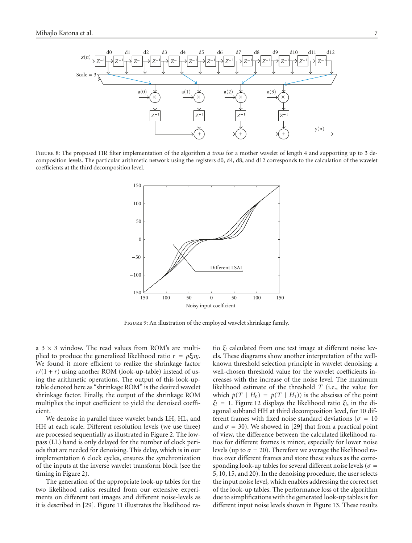

<span id="page-6-0"></span>FIGURE 8: The proposed FIR filter implementation of the algorithm *à trous* for a mother wavelet of length 4 and supporting up to 3 decomposition levels. The particular arithmetic network using the registers d0, d4, d8, and d12 corresponds to the calculation of the wavelet coefficients at the third decomposition level.



<span id="page-6-1"></span>Figure 9: An illustration of the employed wavelet shrinkage family.

a  $3 \times 3$  window. The read values from ROM's are multiplied to produce the generalized likelihood ratio  $r = \rho \xi_l \eta_l$ . We found it more efficient to realize the shrinkage factor  $r/(1 + r)$  using another ROM (look-up-table) instead of using the arithmetic operations. The output of this look-uptable denoted here as "shrinkage ROM" is the desired wavelet shrinkage factor. Finally, the output of the shrinkage ROM multiplies the input coefficient to yield the denoised coefficient.

We denoise in parallel three wavelet bands LH, HL, and HH at each scale. Different resolution levels (we use three) are processed sequentially as illustrated in [Figure 2.](#page-3-1) The lowpass (LL) band is only delayed for the number of clock periods that are needed for denoising. This delay, which is in our implementation 6 clock cycles, ensures the synchronization of the inputs at the inverse wavelet transform block (see the timing in [Figure 2\)](#page-3-1).

The generation of the appropriate look-up tables for the two likelihood ratios resulted from our extensive experiments on different test images and different noise-levels as it is described in [\[29](#page-10-8)]. [Figure 11](#page-7-3) illustrates the likelihood ratio *ξl* calculated from one test image at different noise levels. These diagrams show another interpretation of the wellknown threshold selection principle in wavelet denoising: a well-chosen threshold value for the wavelet coefficients increases with the increase of the noise level. The maximum likelihood estimate of the threshold *T* (i.e., the value for which  $p(T | H_0) = p(T | H_1)$  is the abscissa of the point *ξl* <sup>=</sup> 1. [Figure 12](#page-8-1) displays the likelihood ratio *ξl*, in the diagonal subband HH at third decomposition level, for 10 different frames with fixed noise standard deviations ( $\sigma = 10$ and  $\sigma = 30$ ). We showed in [\[29](#page-10-8)] that from a practical point of view, the difference between the calculated likelihood ratios for different frames is minor, especially for lower noise levels (up to  $\sigma = 20$ ). Therefore we average the likelihood ratios over different frames and store these values as the corresponding look-up tables for several different noise levels ( $\sigma$  = 5, 10, 15, and 20). In the denoising procedure, the user selects the input noise level, which enables addressing the correct set of the look-up tables. The performance loss of the algorithm due to simplifications with the generated look-up tables is for different input noise levels shown in [Figure 13.](#page-8-2) These results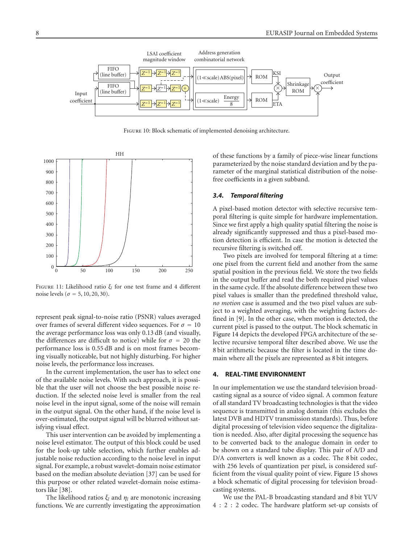

<span id="page-7-2"></span>Figure 10: Block schematic of implemented denoising architecture.



<span id="page-7-3"></span>FIGURE 11: Likelihood ratio  $\xi$ <sup>*l*</sup> for one test frame and 4 different noise levels ( $\sigma = 5, 10, 20, 30$ ).

represent peak signal-to-noise ratio (PSNR) values averaged over frames of several different video sequences. For  $\sigma = 10$ the average performance loss was only 0.13 dB (and visually, the differences are difficult to notice) while for  $\sigma = 20$  the performance loss is 0.55 dB and is on most frames becoming visually noticeable, but not highly disturbing. For higher noise levels, the performance loss increases.

In the current implementation, the user has to select one of the available noise levels. With such approach, it is possible that the user will not choose the best possible noise reduction. If the selected noise level is smaller from the real noise level in the input signal, some of the noise will remain in the output signal. On the other hand, if the noise level is over-estimated, the output signal will be blurred without satisfying visual effect.

This user intervention can be avoided by implementing a noise level estimator. The output of this block could be used for the look-up table selection, which further enables adjustable noise reduction according to the noise level in input signal. For example, a robust wavelet-domain noise estimator based on the median absolute deviation [\[37\]](#page-10-16) can be used for this purpose or other related wavelet-domain noise estimators like [\[38](#page-10-17)].

The likelihood ratios  $\xi_l$  and  $\eta_l$  are monotonic increasing functions. We are currently investigating the approximation of these functions by a family of piece-wise linear functions parameterized by the noise standard deviation and by the parameter of the marginal statistical distribution of the noisefree coefficients in a given subband.

## <span id="page-7-0"></span>*3.4. Temporal filtering*

A pixel-based motion detector with selective recursive temporal filtering is quite simple for hardware implementation. Since we first apply a high quality spatial filtering the noise is already significantly suppressed and thus a pixel-based motion detection is efficient. In case the motion is detected the recursive filtering is switched off.

Two pixels are involved for temporal filtering at a time: one pixel from the current field and another from the same spatial position in the previous field. We store the two fields in the output buffer and read the both required pixel values in the same cycle. If the absolute difference between these two pixel values is smaller than the predefined threshold value, *no motion* case is assumed and the two pixel values are subject to a weighted averaging, with the weighting factors defined in [\[9](#page-9-9)]. In the other case, when motion is detected, the current pixel is passed to the output. The block schematic in [Figure 14](#page-9-17) depicts the developed FPGA architecture of the selective recursive temporal filter described above. We use the 8 bit arithmetic because the filter is located in the time domain where all the pixels are represented as 8 bit integers.

#### <span id="page-7-1"></span>**4. REAL-TIME ENVIRONMENT**

In our implementation we use the standard television broadcasting signal as a source of video signal. A common feature of all standard TV broadcasting technologies is that the video sequence is transmitted in analog domain (this excludes the latest DVB and HDTV transmission standards). Thus, before digital processing of television video sequence the digitalization is needed. Also, after digital processing the sequence has to be converted back to the analogue domain in order to be shown on a standard tube display. This pair of A/D and D/A converters is well known as a codec. The 8 bit codec, with 256 levels of quantization per pixel, is considered sufficient from the visual quality point of view. [Figure 15](#page-9-18) shows a block schematic of digital processing for television broadcasting systems.

We use the PAL-B broadcasting standard and 8 bit YUV 4 : 2 : 2 codec. The hardware platform set-up consists of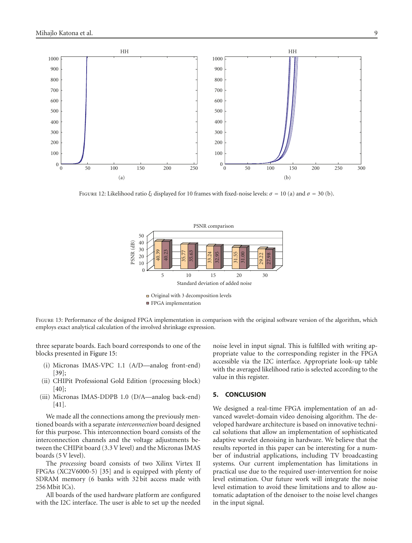

<span id="page-8-1"></span>FIGURE 12: Likelihood ratio  $\zeta_l$  displayed for 10 frames with fixed-noise levels: *σ* = 10 (a) and *σ* = 30 (b).



<span id="page-8-2"></span>FIGURE 13: Performance of the designed FPGA implementation in comparison with the original software version of the algorithm, which employs exact analytical calculation of the involved shrinkage expression.

three separate boards. Each board corresponds to one of the blocks presented in [Figure 15:](#page-9-18)

- (i) Micronas IMAS-VPC 1.1 (A/D—analog front-end) [\[39](#page-10-18)];
- (ii) CHIPit Professional Gold Edition (processing block) [\[40](#page-10-19)];
- (iii) Micronas IMAS-DDPB 1.0 (D/A—analog back-end) [\[41](#page-10-20)].

We made all the connections among the previously mentioned boards with a separate *interconnection* board designed for this purpose. This interconnection board consists of the interconnection channels and the voltage adjustments between the CHIPit board (3.3 V level) and the Micronas IMAS boards (5 V level).

The *processing* board consists of two Xilinx Virtex II FPGAs (XC2V6000-5) [\[35\]](#page-10-14) and is equipped with plenty of SDRAM memory (6 banks with 32 bit access made with 256 Mbit ICs).

All boards of the used hardware platform are configured with the I2C interface. The user is able to set up the needed

noise level in input signal. This is fulfilled with writing appropriate value to the corresponding register in the FPGA accessible via the I2C interface. Appropriate look-up table with the averaged likelihood ratio is selected according to the value in this register.

## <span id="page-8-0"></span>**5. CONCLUSION**

We designed a real-time FPGA implementation of an advanced wavelet-domain video denoising algorithm. The developed hardware architecture is based on innovative technical solutions that allow an implementation of sophisticated adaptive wavelet denoising in hardware. We believe that the results reported in this paper can be interesting for a number of industrial applications, including TV broadcasting systems. Our current implementation has limitations in practical use due to the required user-intervention for noise level estimation. Our future work will integrate the noise level estimation to avoid these limitations and to allow automatic adaptation of the denoiser to the noise level changes in the input signal.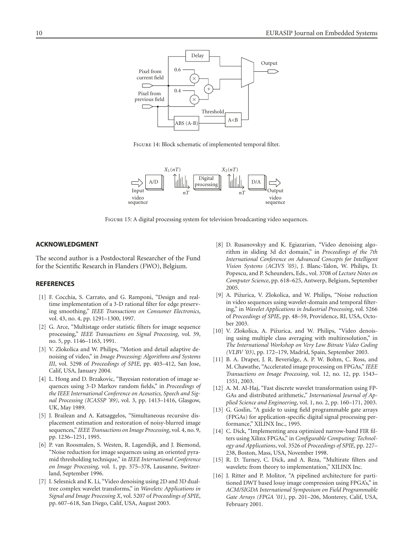

Figure 14: Block schematic of implemented temporal filter.

<span id="page-9-17"></span>

<span id="page-9-18"></span>Figure 15: A digital processing system for television broadcasting video sequences.

## **ACKNOWLEDGMENT**

The second author is a Postdoctoral Researcher of the Fund for the Scientific Research in Flanders (FWO), Belgium.

#### <span id="page-9-1"></span><span id="page-9-0"></span>**REFERENCES**

- [1] F. Cocchia, S. Carrato, and G. Ramponi, "Design and realtime implementation of a 3-D rational filter for edge preserving smoothing," *IEEE Transactions on Consumer Electronics*, vol. 43, no. 4, pp. 1291–1300, 1997.
- <span id="page-9-2"></span>[2] G. Arce, "Multistage order statistic filters for image sequence processing," *IEEE Transactions on Signal Processing*, vol. 39, no. 5, pp. 1146–1163, 1991.
- <span id="page-9-3"></span>[3] V. Zlokolica and W. Philips, "Motion and detail adaptive denoising of video," in *Image Processing: Algorithms and Systems III*, vol. 5298 of *Proceedings of SPIE*, pp. 403–412, San Jose, Calif, USA, January 2004.
- <span id="page-9-4"></span>[4] L. Hong and D. Brzakovic, "Bayesian restoration of image sequences using 3-D Markov random fields," in *Proceedings of the IEEE International Conference on Acoustics, Speech and Signal Processing (ICASSP '89)*, vol. 3, pp. 1413–1416, Glasgow, UK, May 1989.
- <span id="page-9-5"></span>[5] J. Brailean and A. Katsaggelos, "Simultaneous recursive displacement estimation and restoration of noisy-blurred image sequences," *IEEE Transactions on Image Processing*, vol. 4, no. 9, pp. 1236–1251, 1995.
- <span id="page-9-6"></span>[6] P. van Roosmalen, S. Westen, R. Lagendijk, and J. Biemond, "Noise reduction for image sequences using an oriented pyramid thresholding technique," in *IEEE International Conference on Image Processing*, vol. 1, pp. 375–378, Lausanne, Switzerland, September 1996.
- <span id="page-9-7"></span>[7] I. Selesnick and K. Li, "Video denoising using 2D and 3D dualtree complex wavelet transforms," in *Wavelets: Applications in Signal and Image Processing X*, vol. 5207 of *Proceedings of SPIE*, pp. 607–618, San Diego, Calif, USA, August 2003.
- <span id="page-9-8"></span>[8] D. Rusanovskyy and K. Egiazarian, "Video denoising algorithm in sliding 3d dct domain," in *Proceedings of the 7th International Conference on Advanced Concepts for Intelligent Vision Systems (ACIVS '05)*, J. Blanc-Talon, W. Philips, D. Popescu, and P. Scheunders, Eds., vol. 3708 of *Lecture Notes on Computer Science*, pp. 618–625, Antwerp, Belgium, September 2005.
- <span id="page-9-9"></span>[9] A. Pižurica, V. Zlokolica, and W. Philips, "Noise reduction in video sequences using wavelet-domain and temporal filtering," in *Wavelet Applications in Industrial Processing*, vol. 5266 of *Proceedings of SPIE*, pp. 48–59, Providence, RI, USA, October 2003.
- <span id="page-9-10"></span>[10] V. Zlokolica, A. Pižurica, and W. Philips, "Video denoising using multiple class averaging with multiresolution," in *The International Workshop on Very Low Bitrate Video Coding (VLBV '03)*, pp. 172–179, Madrid, Spain, September 2003.
- <span id="page-9-11"></span>[11] B. A. Draper, J. R. Beveridge, A. P. W. Bohm, C. Ross, and M. Chawathe, "Accelerated image processing on FPGAs," *IEEE Transactions on Image Processing*, vol. 12, no. 12, pp. 1543– 1551, 2003.
- <span id="page-9-12"></span>[12] A. M. Al-Haj, "Fast discrete wavelet transformation using FP-GAs and distributed arithmetic," *International Journal of Applied Science and Engineering*, vol. 1, no. 2, pp. 160–171, 2003.
- <span id="page-9-13"></span>[13] G. Goslin, "A guide to using field programmable gate arrays (FPGAs) for application-specific digital signal processing performance," XILINX Inc., 1995.
- <span id="page-9-14"></span>[14] C. Dick, "Implementing area optimized narrow-band FIR filters using Xilinx FPGAs," in *Configurable Computing: Technology and Applications*, vol. 3526 of *Proceedings of SPIE*, pp. 227– 238, Boston, Mass, USA, November 1998.
- <span id="page-9-15"></span>[15] R. D. Turney, C. Dick, and A. Reza, "Multirate filters and wavelets: from theory to implementation," XILINX Inc.
- <span id="page-9-16"></span>[16] J. Ritter and P. Molitor, "A pipelined architecture for partitioned DWT based lossy image compression using FPGA's," in *ACM/SIGDA International Symposium on Field Programmable Gate Arrays (FPGA '01)*, pp. 201–206, Monterey, Calif, USA, February 2001.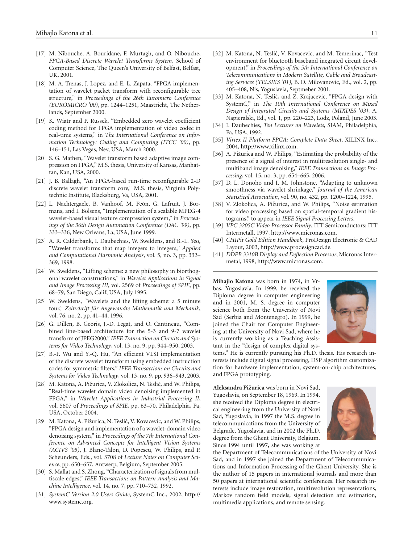- [17] M. Nibouche, A. Bouridane, F. Murtagh, and O. Nibouche, *FPGA-Based Discrete Wavelet Transforms System*, School of Computer Science, The Queen's University of Belfast, Belfast, UK, 2001.
- [18] M. A. Trenas, J. Lopez, and E. L. Zapata, "FPGA implementation of wavelet packet transform with reconfigurable tree structure," in *Proceedings of the 26th Euromicro Conference (EUROMICRO '00)*, pp. 1244–1251, Maastricht, The Netherlands, September 2000.
- [19] K. Wiatr and P. Russek, "Embedded zero wavelet coefficient coding method for FPGA implementation of video codec in real-time systems," in *The International Conference on Information Technology: Coding and Computing (ITCC '00)*, pp. 146–151, Las Vegas, Nev, USA, March 2000.
- <span id="page-10-4"></span>[20] S. G. Mathen, "Wavelet transform based adaptive image compression on FPGA," M.S. thesis, University of Kansas, Manhattan, Kan, USA, 2000.
- <span id="page-10-0"></span>[21] J. B. Ballagh, "An FPGA-based run-time reconfigurable 2-D discrete wavelet transform core," M.S. thesis, Virginia Polytechnic Institute, Blacksburg, Va, USA, 2001.
- <span id="page-10-1"></span>[22] L. Nachtergaele, B. Vanhoof, M. Peón, G. Lafruit, J. Bormans, and I. Bolsens, "Implementation of a scalable MPEG-4 wavelet-based visual texture compression system," in *Proceedings of the 36th Design Automation Conference (DAC '99)*, pp. 333–336, New Orleans, La, USA, June 1999.
- <span id="page-10-2"></span>[23] A. R. Calderbank, I. Daubechies, W. Sweldens, and B.-L. Yeo, "Wavelet transforms that map integers to integers," *Applied and Computational Harmonic Analysis*, vol. 5, no. 3, pp. 332– 369, 1998.
- [24] W. Sweldens, "Lifting scheme: a new philosophy in biorthogonal wavelet constructions," in *Wavelet Applications in Signal and Image Processing III*, vol. 2569 of *Proceedings of SPIE*, pp. 68–79, San Diego, Calif, USA, July 1995.
- <span id="page-10-3"></span>[25] W. Sweldens, "Wavelets and the lifting scheme: a 5 minute tour," Zeitschrift für Angewandte Mathematik und Mechanik, vol. 76, no. 2, pp. 41–44, 1996.
- <span id="page-10-5"></span>[26] G. Dillen, B. Georis, J.-D. Legat, and O. Cantineau, "Combined line-based architecture for the 5-3 and 9-7 wavelet transform of JPEG2000," *IEEE Transaction on Circuits and Systems for Video Technology*, vol. 13, no. 9, pp. 944–950, 2003.
- <span id="page-10-6"></span>[27] B.-F. Wu and Y.-Q. Hu, "An efficient VLSI implementation of the discrete wavelet transform using embedded instruction codes for symmetric filters," *IEEE Transactions on Circuits and Systems for Video Technology*, vol. 13, no. 9, pp. 936–943, 2003.
- <span id="page-10-7"></span>[28] M. Katona, A. Pižurica, V. Zlokolica, N. Teslić, and W. Philips, "Real-time wavelet domain video denoising implemented in FPGA," in *Wavelet Applications in Industrial Processing II*, vol. 5607 of *Proceedings of SPIE*, pp. 63–70, Philadelphia, Pa, USA, October 2004.
- <span id="page-10-8"></span>[29] M. Katona, A. Pižurica, N. Teslić, V. Kovacevic, and W. Philips, "FPGA design and implementation of a wavelet-domain video denoising system," in *Proceedings of the 7th International Conference on Advanced Concepts for Intelligent Vision Systems (ACIVS '05)*, J. Blanc-Talon, D. Popescu, W. Philips, and P. Scheunders, Eds., vol. 3708 of *Lecture Notes on Computer Science*, pp. 650–657, Antwerp, Belgium, September 2005.
- <span id="page-10-9"></span>[30] S. Mallat and S. Zhong, "Characterization of signals from multiscale edges," *IEEE Transactions on Pattern Analysis and Machine Intelligence*, vol. 14, no. 7, pp. 710–732, 1992.
- <span id="page-10-10"></span>[31] *SystemC Version 2.0 Users Guide*, SystemC Inc., 2002, [http://](http://www.systemc.org) [www.systemc.org.](http://www.systemc.org)
- <span id="page-10-11"></span>[32] M. Katona, N. Teslić, V. Kovacevic, and M. Temerinac, "Test environment for bluetooth baseband inegrated circuit development," in *Proceedings of the 5th International Conference on Telecommunications in Modern Satellite, Cable and Broadcasting Services (TELSIKS '01)*, B. D. Milovanovic, Ed., vol. 2, pp. 405–408, Nis, Yoguslavia, Septmeber 2001.
- <span id="page-10-12"></span>[33] M. Katona, N. Teslić, and Z. Krajacevic, "FPGA design with SystemC," in *The 10th International Conference on Mixed Design of Integrated Circuits and Systems (MIXDES '03)*, A. Napieralski, Ed., vol. 1, pp. 220–223, Lodz, Poland, June 2003.
- <span id="page-10-13"></span>[34] I. Daubechies, *Ten Lectures on Wavelets*, SIAM, Philadelphia, Pa, USA, 1992.
- <span id="page-10-14"></span>[35] *Virtex II Platform FPGA: Complete Data Sheet*, XILINX Inc., 2004, [http://www.xilinx.com.](http://www.xilinx.com)
- <span id="page-10-15"></span>[36] A. Pižurica and W. Philips, "Estimating the probability of the presence of a signal of interest in multiresolution single- and multiband image denoising," *IEEE Transactions on Image Processing*, vol. 15, no. 3, pp. 654–665, 2006.
- <span id="page-10-16"></span>[37] D. L. Donoho and I. M. Johnstone, "Adapting to unknown smoothness via wavelet shrinkage," *Journal of the American Statistical Association*, vol. 90, no. 432, pp. 1200–1224, 1995.
- <span id="page-10-17"></span>[38] V. Zlokolica, A. Pižurica, and W. Philips, "Noise estimation for video processing based on spatial-temporal gradient histograms," to appear in *IEEE Signal Processing Letters*.
- <span id="page-10-18"></span>[39] *VPC 3205C Video Processor Family*, ITT Semiconductors: ITT Intermetall, 1997, [http://www.micronas.com.](http://www.micronas.com)
- <span id="page-10-19"></span>[40] *CHIPit Gold Edition Handbook*, ProDesign Electronic & CAD Layout, 2003, [http://www.prodesigncad.de.](http://www.prodesigncad.de)
- <span id="page-10-20"></span>[41] *DDPB 3310B Display and Deflection Processor*, Micronas Intermetal, 1998, [http://www.micronas.com.](http://www.micronas.com)

**Mihajlo Katona** was born in 1974, in Vrbas, Yugoslavia. In 1999, he received the Diploma degree in computer engineering and in 2001, M. S. degree in computer science both from the University of Novi Sad (Serbia and Montenegro). In 1999, he joined the Chair for Computer Engineering at the University of Novi Sad, where he is currently working as a Teaching Assistant in the "design of complex digital sys-



tems." He is currently pursuing his Ph.D. thesis. His research interests include digital signal processing, DSP algorithm customization for hardware implementation, system-on-chip architectures, and FPGA prototyping.

**Aleksandra Pizurica ˇ** was born in Novi Sad, Yugoslavia, on September 18, 1969. In 1994, she received the Diploma degree in electrical engineering from the University of Novi Sad, Yugoslavia, in 1997 the M.S. degree in telecommunications from the University of Belgrade, Yugoslavia, and in 2002 the Ph.D. degree from the Ghent University, Belgium. Since 1994 until 1997, she was working at



the Department of Telecommunications of the University of Novi Sad, and in 1997 she joined the Department of Telecommunications and Information Processing of the Ghent University. She is the author of 15 papers in international journals and more than 50 papers at international scientific conferences. Her research interests include image restoration, multiresolution representations, Markov random field models, signal detection and estimation, multimedia applications, and remote sensing.